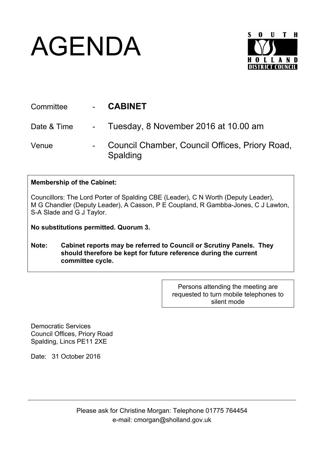## AGENDA



| Committee   | <b>CABINET</b>                                             |
|-------------|------------------------------------------------------------|
| Date & Time | - Tuesday, 8 November 2016 at 10.00 am                     |
| Venue       | Council Chamber, Council Offices, Priory Road,<br>Spalding |

## **Membership of the Cabinet:**

Councillors: The Lord Porter of Spalding CBE (Leader), C N Worth (Deputy Leader), M G Chandler (Deputy Leader), A Casson, P E Coupland, R Gambba-Jones, C J Lawton, S-A Slade and G J Taylor.

**No substitutions permitted. Quorum 3.**

**Note: Cabinet reports may be referred to Council or Scrutiny Panels. They should therefore be kept for future reference during the current committee cycle.** 

> Persons attending the meeting are requested to turn mobile telephones to silent mode

Democratic Services Council Offices, Priory Road Spalding, Lincs PE11 2XE

Date: 31 October 2016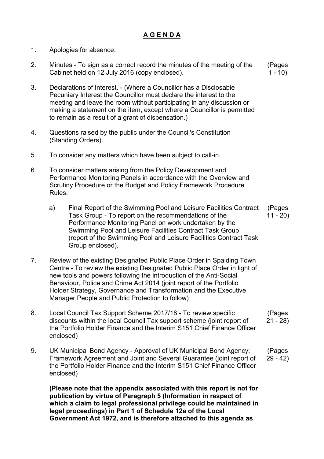## **A G E N D A**

- 1. Apologies for absence.
- 2. Minutes To sign as a correct record the minutes of the meeting of the Cabinet held on 12 July 2016 (copy enclosed). (Pages  $1 - 10$
- 3. Declarations of Interest. (Where a Councillor has a Disclosable Pecuniary Interest the Councillor must declare the interest to the meeting and leave the room without participating in any discussion or making a statement on the item, except where a Councillor is permitted to remain as a result of a grant of dispensation.)
- 4. Questions raised by the public under the Council's Constitution (Standing Orders).
- 5. To consider any matters which have been subject to call-in.
- 6. To consider matters arising from the Policy Development and Performance Monitoring Panels in accordance with the Overview and Scrutiny Procedure or the Budget and Policy Framework Procedure Rules.
	- a) Final Report of the Swimming Pool and Leisure Facilities Contract Task Group - To report on the recommendations of the Performance Monitoring Panel on work undertaken by the Swimming Pool and Leisure Facilities Contract Task Group (report of the Swimming Pool and Leisure Facilities Contract Task Group enclosed). (Pages  $11 - 20$
- 7. Review of the existing Designated Public Place Order in Spalding Town Centre - To review the existing Designated Public Place Order in light of new tools and powers following the introduction of the Anti-Social Behaviour, Police and Crime Act 2014 (joint report of the Portfolio Holder Strategy, Governance and Transformation and the Executive Manager People and Public Protection to follow)
- 8. Local Council Tax Support Scheme 2017/18 To review specific discounts within the local Council Tax support scheme (joint report of the Portfolio Holder Finance and the Interim S151 Chief Finance Officer enclosed) (Pages 21 - 28)
- 9. UK Municipal Bond Agency Approval of UK Municipal Bond Agency; Framework Agreement and Joint and Several Guarantee (joint report of the Portfolio Holder Finance and the Interim S151 Chief Finance Officer enclosed) (Pages 29 - 42)

**(Please note that the appendix associated with this report is not for publication by virtue of Paragraph 5 (Information in respect of which a claim to legal professional privilege could be maintained in legal proceedings) in Part 1 of Schedule 12a of the Local Government Act 1972, and is therefore attached to this agenda as**